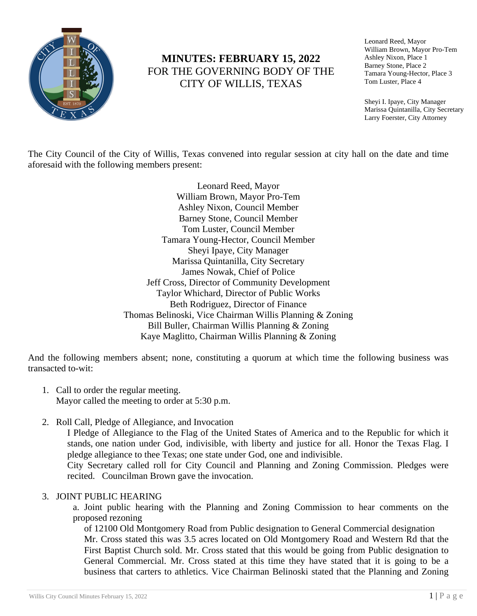

# **MINUTES: FEBRUARY 15, 2022** FOR THE GOVERNING BODY OF THE CITY OF WILLIS, TEXAS

Leonard Reed, Mayor William Brown, Mayor Pro-Tem Ashley Nixon, Place 1 Barney Stone, Place 2 Tamara Young-Hector, Place 3 Tom Luster, Place 4

Sheyi I. Ipaye, City Manager Marissa Quintanilla, City Secretary Larry Foerster, City Attorney

The City Council of the City of Willis, Texas convened into regular session at city hall on the date and time aforesaid with the following members present:

> Leonard Reed, Mayor William Brown, Mayor Pro-Tem Ashley Nixon, Council Member Barney Stone, Council Member Tom Luster, Council Member Tamara Young-Hector, Council Member Sheyi Ipaye, City Manager Marissa Quintanilla, City Secretary James Nowak, Chief of Police Jeff Cross, Director of Community Development Taylor Whichard, Director of Public Works Beth Rodriguez, Director of Finance Thomas Belinoski, Vice Chairman Willis Planning & Zoning Bill Buller, Chairman Willis Planning & Zoning Kaye Maglitto, Chairman Willis Planning & Zoning

And the following members absent; none, constituting a quorum at which time the following business was transacted to-wit:

- 1. Call to order the regular meeting. Mayor called the meeting to order at 5:30 p.m.
- 2. Roll Call, Pledge of Allegiance, and Invocation

I Pledge of Allegiance to the Flag of the United States of America and to the Republic for which it stands, one nation under God, indivisible, with liberty and justice for all. Honor the Texas Flag. I pledge allegiance to thee Texas; one state under God, one and indivisible. City Secretary called roll for City Council and Planning and Zoning Commission. Pledges were

recited. Councilman Brown gave the invocation.

# 3. JOINT PUBLIC HEARING

a. Joint public hearing with the Planning and Zoning Commission to hear comments on the proposed rezoning

of 12100 Old Montgomery Road from Public designation to General Commercial designation Mr. Cross stated this was 3.5 acres located on Old Montgomery Road and Western Rd that the First Baptist Church sold. Mr. Cross stated that this would be going from Public designation to General Commercial. Mr. Cross stated at this time they have stated that it is going to be a business that carters to athletics. Vice Chairman Belinoski stated that the Planning and Zoning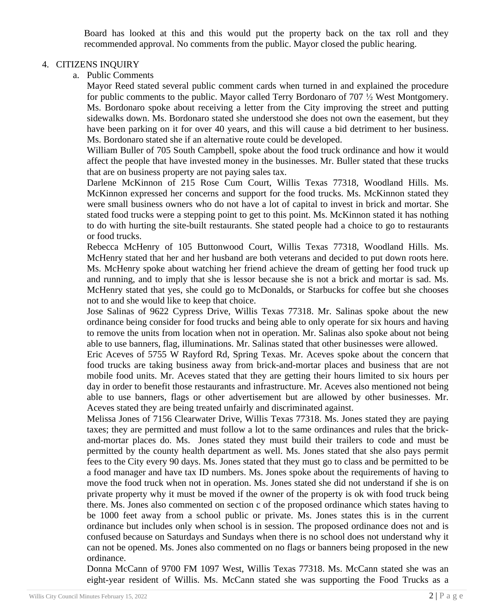Board has looked at this and this would put the property back on the tax roll and they recommended approval. No comments from the public. Mayor closed the public hearing.

### 4. CITIZENS INQUIRY

a. Public Comments

Mayor Reed stated several public comment cards when turned in and explained the procedure for public comments to the public. Mayor called Terry Bordonaro of 707  $\frac{1}{2}$  West Montgomery. Ms. Bordonaro spoke about receiving a letter from the City improving the street and putting sidewalks down. Ms. Bordonaro stated she understood she does not own the easement, but they have been parking on it for over 40 years, and this will cause a bid detriment to her business. Ms. Bordonaro stated she if an alternative route could be developed.

William Buller of 705 South Campbell, spoke about the food truck ordinance and how it would affect the people that have invested money in the businesses. Mr. Buller stated that these trucks that are on business property are not paying sales tax.

Darlene McKinnon of 215 Rose Cum Court, Willis Texas 77318, Woodland Hills. Ms. McKinnon expressed her concerns and support for the food trucks. Ms. McKinnon stated they were small business owners who do not have a lot of capital to invest in brick and mortar. She stated food trucks were a stepping point to get to this point. Ms. McKinnon stated it has nothing to do with hurting the site-built restaurants. She stated people had a choice to go to restaurants or food trucks.

Rebecca McHenry of 105 Buttonwood Court, Willis Texas 77318, Woodland Hills. Ms. McHenry stated that her and her husband are both veterans and decided to put down roots here. Ms. McHenry spoke about watching her friend achieve the dream of getting her food truck up and running, and to imply that she is lessor because she is not a brick and mortar is sad. Ms. McHenry stated that yes, she could go to McDonalds, or Starbucks for coffee but she chooses not to and she would like to keep that choice.

Jose Salinas of 9622 Cypress Drive, Willis Texas 77318. Mr. Salinas spoke about the new ordinance being consider for food trucks and being able to only operate for six hours and having to remove the units from location when not in operation. Mr. Salinas also spoke about not being able to use banners, flag, illuminations. Mr. Salinas stated that other businesses were allowed.

Eric Aceves of 5755 W Rayford Rd, Spring Texas. Mr. Aceves spoke about the concern that food trucks are taking business away from brick-and-mortar places and business that are not mobile food units. Mr. Aceves stated that they are getting their hours limited to six hours per day in order to benefit those restaurants and infrastructure. Mr. Aceves also mentioned not being able to use banners, flags or other advertisement but are allowed by other businesses. Mr. Aceves stated they are being treated unfairly and discriminated against.

Melissa Jones of 7156 Clearwater Drive, Willis Texas 77318. Ms. Jones stated they are paying taxes; they are permitted and must follow a lot to the same ordinances and rules that the brickand-mortar places do. Ms. Jones stated they must build their trailers to code and must be permitted by the county health department as well. Ms. Jones stated that she also pays permit fees to the City every 90 days. Ms. Jones stated that they must go to class and be permitted to be a food manager and have tax ID numbers. Ms. Jones spoke about the requirements of having to move the food truck when not in operation. Ms. Jones stated she did not understand if she is on private property why it must be moved if the owner of the property is ok with food truck being there. Ms. Jones also commented on section c of the proposed ordinance which states having to be 1000 feet away from a school public or private. Ms. Jones states this is in the current ordinance but includes only when school is in session. The proposed ordinance does not and is confused because on Saturdays and Sundays when there is no school does not understand why it can not be opened. Ms. Jones also commented on no flags or banners being proposed in the new ordinance.

Donna McCann of 9700 FM 1097 West, Willis Texas 77318. Ms. McCann stated she was an eight-year resident of Willis. Ms. McCann stated she was supporting the Food Trucks as a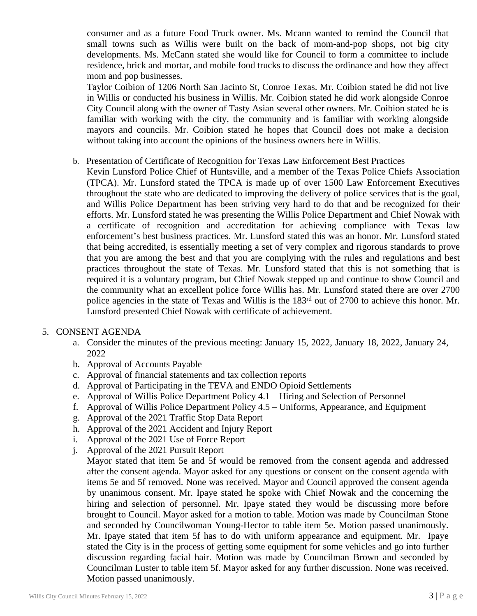consumer and as a future Food Truck owner. Ms. Mcann wanted to remind the Council that small towns such as Willis were built on the back of mom-and-pop shops, not big city developments. Ms. McCann stated she would like for Council to form a committee to include residence, brick and mortar, and mobile food trucks to discuss the ordinance and how they affect mom and pop businesses.

Taylor Coibion of 1206 North San Jacinto St, Conroe Texas. Mr. Coibion stated he did not live in Willis or conducted his business in Willis. Mr. Coibion stated he did work alongside Conroe City Council along with the owner of Tasty Asian several other owners. Mr. Coibion stated he is familiar with working with the city, the community and is familiar with working alongside mayors and councils. Mr. Coibion stated he hopes that Council does not make a decision without taking into account the opinions of the business owners here in Willis.

- b. Presentation of Certificate of Recognition for Texas Law Enforcement Best Practices
	- Kevin Lunsford Police Chief of Huntsville, and a member of the Texas Police Chiefs Association (TPCA). Mr. Lunsford stated the TPCA is made up of over 1500 Law Enforcement Executives throughout the state who are dedicated to improving the delivery of police services that is the goal, and Willis Police Department has been striving very hard to do that and be recognized for their efforts. Mr. Lunsford stated he was presenting the Willis Police Department and Chief Nowak with a certificate of recognition and accreditation for achieving compliance with Texas law enforcement's best business practices. Mr. Lunsford stated this was an honor. Mr. Lunsford stated that being accredited, is essentially meeting a set of very complex and rigorous standards to prove that you are among the best and that you are complying with the rules and regulations and best practices throughout the state of Texas. Mr. Lunsford stated that this is not something that is required it is a voluntary program, but Chief Nowak stepped up and continue to show Council and the community what an excellent police force Willis has. Mr. Lunsford stated there are over 2700 police agencies in the state of Texas and Willis is the 183rd out of 2700 to achieve this honor. Mr. Lunsford presented Chief Nowak with certificate of achievement.

#### 5. CONSENT AGENDA

- a. Consider the minutes of the previous meeting: January 15, 2022, January 18, 2022, January 24, 2022
- b. Approval of Accounts Payable
- c. Approval of financial statements and tax collection reports
- d. Approval of Participating in the TEVA and ENDO Opioid Settlements
- e. Approval of Willis Police Department Policy 4.1 Hiring and Selection of Personnel
- f. Approval of Willis Police Department Policy 4.5 Uniforms, Appearance, and Equipment
- g. Approval of the 2021 Traffic Stop Data Report
- h. Approval of the 2021 Accident and Injury Report
- i. Approval of the 2021 Use of Force Report
- j. Approval of the 2021 Pursuit Report
	- Mayor stated that item 5e and 5f would be removed from the consent agenda and addressed after the consent agenda. Mayor asked for any questions or consent on the consent agenda with items 5e and 5f removed. None was received. Mayor and Council approved the consent agenda by unanimous consent. Mr. Ipaye stated he spoke with Chief Nowak and the concerning the hiring and selection of personnel. Mr. Ipaye stated they would be discussing more before brought to Council. Mayor asked for a motion to table. Motion was made by Councilman Stone and seconded by Councilwoman Young-Hector to table item 5e. Motion passed unanimously. Mr. Ipaye stated that item 5f has to do with uniform appearance and equipment. Mr. Ipaye stated the City is in the process of getting some equipment for some vehicles and go into further discussion regarding facial hair. Motion was made by Councilman Brown and seconded by Councilman Luster to table item 5f. Mayor asked for any further discussion. None was received. Motion passed unanimously.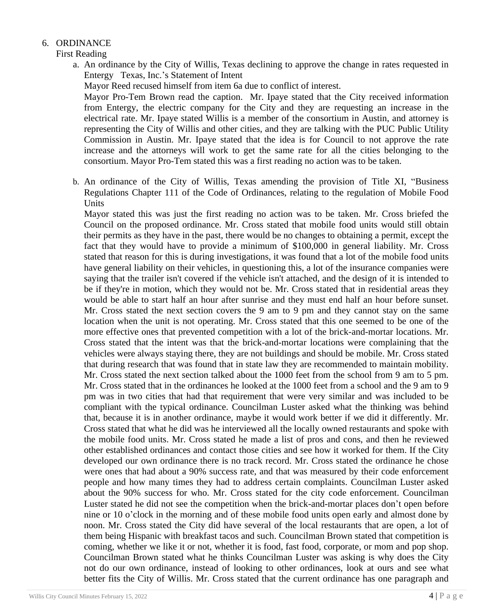## 6. ORDINANCE

First Reading

a. An ordinance by the City of Willis, Texas declining to approve the change in rates requested in Entergy Texas, Inc.'s Statement of Intent

Mayor Reed recused himself from item 6a due to conflict of interest.

Mayor Pro-Tem Brown read the caption. Mr. Ipaye stated that the City received information from Entergy, the electric company for the City and they are requesting an increase in the electrical rate. Mr. Ipaye stated Willis is a member of the consortium in Austin, and attorney is representing the City of Willis and other cities, and they are talking with the PUC Public Utility Commission in Austin. Mr. Ipaye stated that the idea is for Council to not approve the rate increase and the attorneys will work to get the same rate for all the cities belonging to the consortium. Mayor Pro-Tem stated this was a first reading no action was to be taken.

b. An ordinance of the City of Willis, Texas amending the provision of Title XI, "Business Regulations Chapter 111 of the Code of Ordinances, relating to the regulation of Mobile Food Units

Mayor stated this was just the first reading no action was to be taken. Mr. Cross briefed the Council on the proposed ordinance. Mr. Cross stated that mobile food units would still obtain their permits as they have in the past, there would be no changes to obtaining a permit, except the fact that they would have to provide a minimum of \$100,000 in general liability. Mr. Cross stated that reason for this is during investigations, it was found that a lot of the mobile food units have general liability on their vehicles, in questioning this, a lot of the insurance companies were saying that the trailer isn't covered if the vehicle isn't attached, and the design of it is intended to be if they're in motion, which they would not be. Mr. Cross stated that in residential areas they would be able to start half an hour after sunrise and they must end half an hour before sunset. Mr. Cross stated the next section covers the 9 am to 9 pm and they cannot stay on the same location when the unit is not operating. Mr. Cross stated that this one seemed to be one of the more effective ones that prevented competition with a lot of the brick-and-mortar locations. Mr. Cross stated that the intent was that the brick-and-mortar locations were complaining that the vehicles were always staying there, they are not buildings and should be mobile. Mr. Cross stated that during research that was found that in state law they are recommended to maintain mobility. Mr. Cross stated the next section talked about the 1000 feet from the school from 9 am to 5 pm. Mr. Cross stated that in the ordinances he looked at the 1000 feet from a school and the 9 am to 9 pm was in two cities that had that requirement that were very similar and was included to be compliant with the typical ordinance. Councilman Luster asked what the thinking was behind that, because it is in another ordinance, maybe it would work better if we did it differently. Mr. Cross stated that what he did was he interviewed all the locally owned restaurants and spoke with the mobile food units. Mr. Cross stated he made a list of pros and cons, and then he reviewed other established ordinances and contact those cities and see how it worked for them. If the City developed our own ordinance there is no track record. Mr. Cross stated the ordinance he chose were ones that had about a 90% success rate, and that was measured by their code enforcement people and how many times they had to address certain complaints. Councilman Luster asked about the 90% success for who. Mr. Cross stated for the city code enforcement. Councilman Luster stated he did not see the competition when the brick-and-mortar places don't open before nine or 10 o'clock in the morning and of these mobile food units open early and almost done by noon. Mr. Cross stated the City did have several of the local restaurants that are open, a lot of them being Hispanic with breakfast tacos and such. Councilman Brown stated that competition is coming, whether we like it or not, whether it is food, fast food, corporate, or mom and pop shop. Councilman Brown stated what he thinks Councilman Luster was asking is why does the City not do our own ordinance, instead of looking to other ordinances, look at ours and see what better fits the City of Willis. Mr. Cross stated that the current ordinance has one paragraph and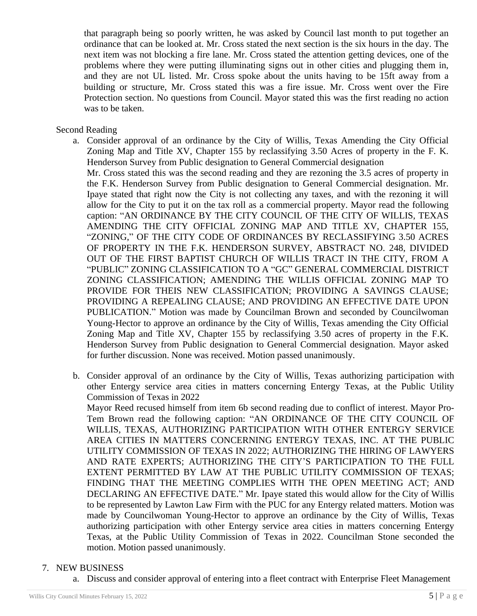that paragraph being so poorly written, he was asked by Council last month to put together an ordinance that can be looked at. Mr. Cross stated the next section is the six hours in the day. The next item was not blocking a fire lane. Mr. Cross stated the attention getting devices, one of the problems where they were putting illuminating signs out in other cities and plugging them in, and they are not UL listed. Mr. Cross spoke about the units having to be 15ft away from a building or structure, Mr. Cross stated this was a fire issue. Mr. Cross went over the Fire Protection section. No questions from Council. Mayor stated this was the first reading no action was to be taken.

#### Second Reading

a. Consider approval of an ordinance by the City of Willis, Texas Amending the City Official Zoning Map and Title XV, Chapter 155 by reclassifying 3.50 Acres of property in the F. K. Henderson Survey from Public designation to General Commercial designation

Mr. Cross stated this was the second reading and they are rezoning the 3.5 acres of property in the F.K. Henderson Survey from Public designation to General Commercial designation. Mr. Ipaye stated that right now the City is not collecting any taxes, and with the rezoning it will allow for the City to put it on the tax roll as a commercial property. Mayor read the following caption: "AN ORDINANCE BY THE CITY COUNCIL OF THE CITY OF WILLIS, TEXAS AMENDING THE CITY OFFICIAL ZONING MAP AND TITLE XV, CHAPTER 155, "ZONING," OF THE CITY CODE OF ORDINANCES BY RECLASSIFYING 3.50 ACRES OF PROPERTY IN THE F.K. HENDERSON SURVEY, ABSTRACT NO. 248, DIVIDED OUT OF THE FIRST BAPTIST CHURCH OF WILLIS TRACT IN THE CITY, FROM A "PUBLIC" ZONING CLASSIFICATION TO A "GC" GENERAL COMMERCIAL DISTRICT ZONING CLASSIFICATION; AMENDING THE WILLIS OFFICIAL ZONING MAP TO PROVIDE FOR THEIS NEW CLASSIFICATION; PROVIDING A SAVINGS CLAUSE; PROVIDING A REPEALING CLAUSE; AND PROVIDING AN EFFECTIVE DATE UPON PUBLICATION." Motion was made by Councilman Brown and seconded by Councilwoman Young-Hector to approve an ordinance by the City of Willis, Texas amending the City Official Zoning Map and Title XV, Chapter 155 by reclassifying 3.50 acres of property in the F.K. Henderson Survey from Public designation to General Commercial designation. Mayor asked for further discussion. None was received. Motion passed unanimously.

b. Consider approval of an ordinance by the City of Willis, Texas authorizing participation with other Entergy service area cities in matters concerning Entergy Texas, at the Public Utility Commission of Texas in 2022

Mayor Reed recused himself from item 6b second reading due to conflict of interest. Mayor Pro-Tem Brown read the following caption: "AN ORDINANCE OF THE CITY COUNCIL OF WILLIS, TEXAS, AUTHORIZING PARTICIPATION WITH OTHER ENTERGY SERVICE AREA CITIES IN MATTERS CONCERNING ENTERGY TEXAS, INC. AT THE PUBLIC UTILITY COMMISSION OF TEXAS IN 2022; AUTHORIZING THE HIRING OF LAWYERS AND RATE EXPERTS; AUTHORIZING THE CITY'S PARTICIPATION TO THE FULL EXTENT PERMITTED BY LAW AT THE PUBLIC UTILITY COMMISSION OF TEXAS; FINDING THAT THE MEETING COMPLIES WITH THE OPEN MEETING ACT; AND DECLARING AN EFFECTIVE DATE." Mr. Ipaye stated this would allow for the City of Willis to be represented by Lawton Law Firm with the PUC for any Entergy related matters. Motion was made by Councilwoman Young-Hector to approve an ordinance by the City of Willis, Texas authorizing participation with other Entergy service area cities in matters concerning Entergy Texas, at the Public Utility Commission of Texas in 2022. Councilman Stone seconded the motion. Motion passed unanimously.

#### 7. NEW BUSINESS

a. Discuss and consider approval of entering into a fleet contract with Enterprise Fleet Management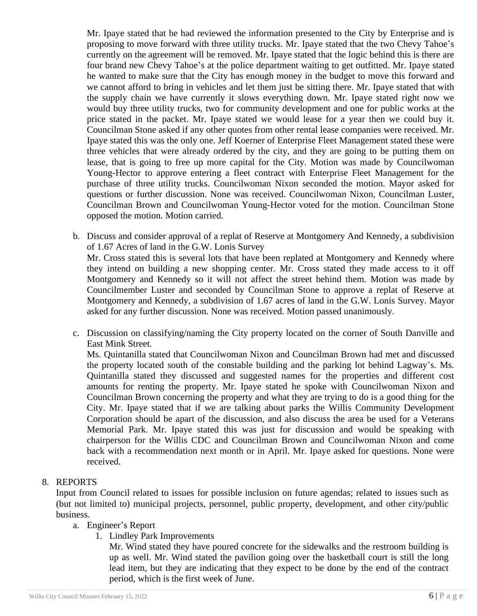Mr. Ipaye stated that he had reviewed the information presented to the City by Enterprise and is proposing to move forward with three utility trucks. Mr. Ipaye stated that the two Chevy Tahoe's currently on the agreement will be removed. Mr. Ipaye stated that the logic behind this is there are four brand new Chevy Tahoe's at the police department waiting to get outfitted. Mr. Ipaye stated he wanted to make sure that the City has enough money in the budget to move this forward and we cannot afford to bring in vehicles and let them just be sitting there. Mr. Ipaye stated that with the supply chain we have currently it slows everything down. Mr. Ipaye stated right now we would buy three utility trucks, two for community development and one for public works at the price stated in the packet. Mr. Ipaye stated we would lease for a year then we could buy it. Councilman Stone asked if any other quotes from other rental lease companies were received. Mr. Ipaye stated this was the only one. Jeff Koerner of Enterprise Fleet Management stated these were three vehicles that were already ordered by the city, and they are going to be putting them on lease, that is going to free up more capital for the City. Motion was made by Councilwoman Young-Hector to approve entering a fleet contract with Enterprise Fleet Management for the purchase of three utility trucks. Councilwoman Nixon seconded the motion. Mayor asked for questions or further discussion. None was received. Councilwoman Nixon, Councilman Luster, Councilman Brown and Councilwoman Young-Hector voted for the motion. Councilman Stone opposed the motion. Motion carried.

b. Discuss and consider approval of a replat of Reserve at Montgomery And Kennedy, a subdivision of 1.67 Acres of land in the G.W. Lonis Survey

Mr. Cross stated this is several lots that have been replated at Montgomery and Kennedy where they intend on building a new shopping center. Mr. Cross stated they made access to it off Montgomery and Kennedy so it will not affect the street behind them. Motion was made by Councilmember Luster and seconded by Councilman Stone to approve a replat of Reserve at Montgomery and Kennedy, a subdivision of 1.67 acres of land in the G.W. Lonis Survey. Mayor asked for any further discussion. None was received. Motion passed unanimously.

c. Discussion on classifying/naming the City property located on the corner of South Danville and East Mink Street.

Ms. Quintanilla stated that Councilwoman Nixon and Councilman Brown had met and discussed the property located south of the constable building and the parking lot behind Lagway's. Ms. Quintanilla stated they discussed and suggested names for the properties and different cost amounts for renting the property. Mr. Ipaye stated he spoke with Councilwoman Nixon and Councilman Brown concerning the property and what they are trying to do is a good thing for the City. Mr. Ipaye stated that if we are talking about parks the Willis Community Development Corporation should be apart of the discussion, and also discuss the area be used for a Veterans Memorial Park. Mr. Ipaye stated this was just for discussion and would be speaking with chairperson for the Willis CDC and Councilman Brown and Councilwoman Nixon and come back with a recommendation next month or in April. Mr. Ipaye asked for questions. None were received.

#### 8. REPORTS

Input from Council related to issues for possible inclusion on future agendas; related to issues such as (but not limited to) municipal projects, personnel, public property, development, and other city/public business.

- a. Engineer's Report
	- 1. Lindley Park Improvements

Mr. Wind stated they have poured concrete for the sidewalks and the restroom building is up as well. Mr. Wind stated the pavilion going over the basketball court is still the long lead item, but they are indicating that they expect to be done by the end of the contract period, which is the first week of June.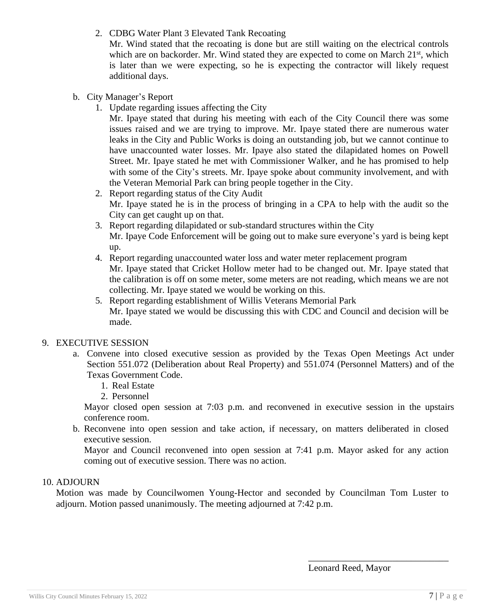2. CDBG Water Plant 3 Elevated Tank Recoating

Mr. Wind stated that the recoating is done but are still waiting on the electrical controls which are on backorder. Mr. Wind stated they are expected to come on March 21st, which is later than we were expecting, so he is expecting the contractor will likely request additional days.

- b. City Manager's Report
	- 1. Update regarding issues affecting the City

Mr. Ipaye stated that during his meeting with each of the City Council there was some issues raised and we are trying to improve. Mr. Ipaye stated there are numerous water leaks in the City and Public Works is doing an outstanding job, but we cannot continue to have unaccounted water losses. Mr. Ipaye also stated the dilapidated homes on Powell Street. Mr. Ipaye stated he met with Commissioner Walker, and he has promised to help with some of the City's streets. Mr. Ipaye spoke about community involvement, and with the Veteran Memorial Park can bring people together in the City.

- 2. Report regarding status of the City Audit Mr. Ipaye stated he is in the process of bringing in a CPA to help with the audit so the City can get caught up on that.
- 3. Report regarding dilapidated or sub-standard structures within the City Mr. Ipaye Code Enforcement will be going out to make sure everyone's yard is being kept up.
- 4. Report regarding unaccounted water loss and water meter replacement program Mr. Ipaye stated that Cricket Hollow meter had to be changed out. Mr. Ipaye stated that the calibration is off on some meter, some meters are not reading, which means we are not collecting. Mr. Ipaye stated we would be working on this.
- 5. Report regarding establishment of Willis Veterans Memorial Park Mr. Ipaye stated we would be discussing this with CDC and Council and decision will be made.

# 9. EXECUTIVE SESSION

- a. Convene into closed executive session as provided by the Texas Open Meetings Act under Section 551.072 (Deliberation about Real Property) and 551.074 (Personnel Matters) and of the Texas Government Code.
	- 1. Real Estate
	- 2. Personnel

Mayor closed open session at 7:03 p.m. and reconvened in executive session in the upstairs conference room.

b. Reconvene into open session and take action, if necessary, on matters deliberated in closed executive session.

Mayor and Council reconvened into open session at 7:41 p.m. Mayor asked for any action coming out of executive session. There was no action.

#### 10. ADJOURN

Motion was made by Councilwomen Young-Hector and seconded by Councilman Tom Luster to adjourn. Motion passed unanimously. The meeting adjourned at 7:42 p.m.

Leonard Reed, Mayor

\_\_\_\_\_\_\_\_\_\_\_\_\_\_\_\_\_\_\_\_\_\_\_\_\_\_\_\_\_\_